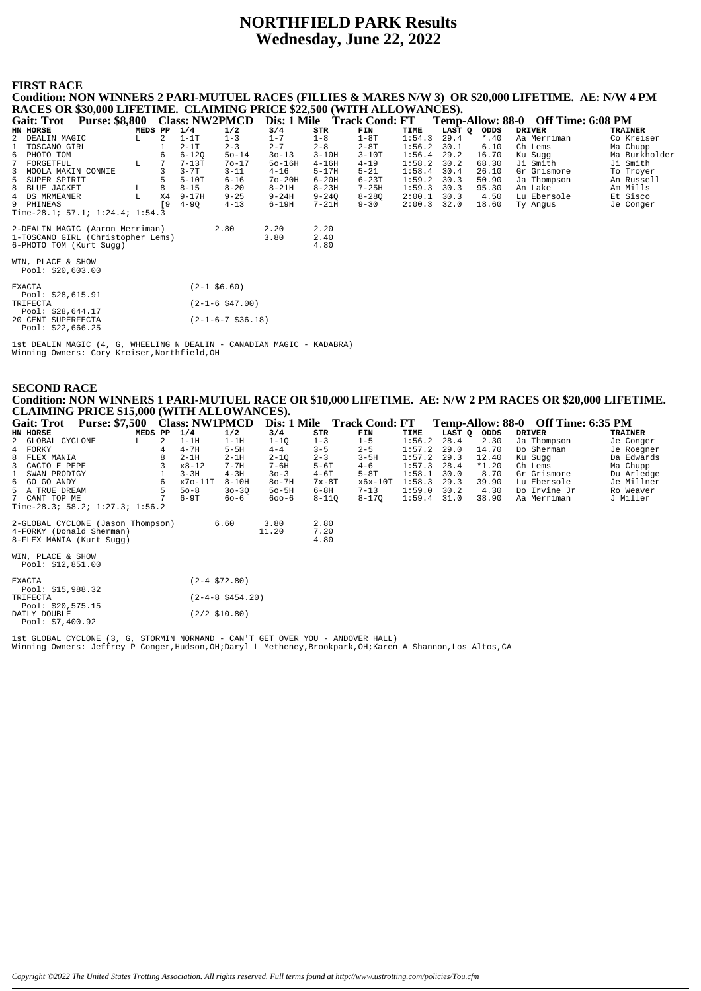# **NORTHFIELD PARK Results Wednesday, June 22, 2022**

#### **FIRST RACE**

**Condition: NON WINNERS 2 PARI-MUTUEL RACES (FILLIES & MARES N/W 3) OR \$20,000 LIFETIME. AE: N/W 4 PM** RACES OR \$30,000 LIFETIME. CLAIMING PRICE \$22,500 (WITH ALLOWANCES).<br>Gait: Trot Purse: \$8,800 Class: NW2PMCD Dis: 1 Mile Track Cond: FT Temp-Allow: 88-0 Off Time: 6:08 PM **Gait: Trot Purse: \$8,800 Class: NW2PMCD Dis: 1 Mile Track Cond: FT Temp-Allow: 88-0 Off Time: 6:08 PM**<br>
EN HORSE DRIVER TRAINER TRAINER TRAINER TRAINER TRAINER TRAINER TRAINER TRAINER TRAINER TRAINER TRAINER TRAINER 2 DE **HN HORSE MEDS PP 1/4 1/2 3/4 STR FIN TIME LAST Q ODDS DRIVER TRAINER** 2 DEALIN MAGIC L 2 1-1T 1-3 1-7 1-8 1-8T 1:54.3 29.4 \*.40 Aa Merriman Co Kreiser 1 TOSCANO GIRL 1 2-1T 2-3 2-7 2-8 2-8T 1:56.2 30.1 6.10 Ch Lems Ma Chupp 6 PHOTO TOM 6 6-12Q 5o-14 3o-13 3-10H 3-10T 1:56.4 29.2 16.70 Ku Sugg Ma Burkholder 7 FORGETFUL L 7 7-13T 7o-17 5o-16H 4-16H 4-19 1:58.2 30.2 68.30 Ji Smith Ji Smith 3 MOOLA MAKIN CONNIE 3 3-7T 3-11 4-16 5-17H 5-21 1:58.4 30.4 26.10 Gr Grismore To Troyer<br>3 SUPER SPIRIT 5 5-10T 6-16 7o-20H 6-20H 6-23H 7-23H 1:59.2 30.3 50.90 Ja Thompson An Russell<br>8 BLUE JACKER 1 26 8-18 9-24 1:59.3 30. 5 SUPER SPIRIT 5 5-10T 6-16 7o-20H 6-20H 6-23T 1:59.2 30.3 50.90 Ja Thompson An Russell 8 BLUE JACKET L 8 8-15 8-20 8-21H 8-23H 7-25H 1:59.3 30.3 95.30 An Lake Am Mills 4 DS MRMEANER L X4 9-17H 9-25 9-24H 9-24Q 8-28Q 2:00.1 30.3 4.50 Lu Ebersole Et Sisco 9 PHINEAS [9 4-9Q 4-13 6-19H 7-21H 9-30 2:00.3 32.0 18.60 Ty Angus Je Conger Time-28.1; 57.1; 1:24.4; 1:54.3 2-DEALIN MAGIC (Aaron Merriman) 2.80 2.20 2.20 1-TOSCANO GIRL (Christopher Lems) 3.80 2.40 6-PHOTO TOM (Kurt Sugg) 4.80 WIN, PLACE & SHOW Pool: \$20,603.00 EXACTA (2-1 \$6.60) Pool: \$28,615.91 TRIFECTA (2-1-6 \$47.00) Pool: \$28,644.17 20 CENT SUPERFECTA (2-1-6-7 \$36.18) Pool: \$22,666.25

1st DEALIN MAGIC (4, G, WHEELING N DEALIN - CANADIAN MAGIC - KADABRA) Winning Owners: Cory Kreiser, Northfield, OH

#### **SECOND RACE Condition: NON WINNERS 1 PARI-MUTUEL RACE OR \$10,000 LIFETIME. AE: N/W 2 PM RACES OR \$20,000 LIFETIME. CLAIMING PRICE \$15,000 (WITH ALLOWANCES).**

| Gait: Trot<br><b>Purse: \$7,500</b>    |         | <b>Class: NW1PMCD</b> |                      |           |           | Dis: 1 Mile Track Cond: FT |        |        |         | Temp-Allow: 88-0 Off Time: 6:35 PM |            |
|----------------------------------------|---------|-----------------------|----------------------|-----------|-----------|----------------------------|--------|--------|---------|------------------------------------|------------|
| <b>HN HORSE</b>                        | MEDS PP | 1/4                   | 1/2                  | 3/4       | STR       | FIN                        | TIME   | LAST Q | ODDS    | <b>DRIVER</b>                      | TRAINER    |
| GLOBAL CYCLONE<br>2<br>L               | 2       | $1-1H$                | $1-1H$               | $1 - 10$  | $1 - 3$   | $1 - 5$                    | 1:56.2 | 28.4   | 2.30    | Ja Thompson                        | Je Conger  |
| 4 FORKY                                |         | $4 - 7H$              | $5-5H$               | $4 - 4$   | $3 - 5$   | $2 - 5$                    | 1:57.2 | 29.0   | 14.70   | Do Sherman                         | Je Roegner |
| 8<br>FLEX MANIA                        |         | $2-1H$                | $2-1H$               | $2 - 1Q$  | $2 - 3$   | $3 - 5H$                   | 1:57.2 | 29.3   | 12.40   | Ku Suqq                            | Da Edwards |
| 3<br>CACIO E PEPE                      |         | $x8 - 12$             | $7 - 7H$             | $7 - 6H$  | $5-6T$    | $4 - 6$                    | 1:57.3 | 28.4   | $*1.20$ | Ch Lems                            | Ma Chupp   |
| SWAN PRODIGY                           |         | $3 - 3H$              | $4-3H$               | $30 - 3$  | $4-6T$    | $5-8T$                     | 1:58.1 | 30.0   | 8.70    | Gr Grismore                        | Du Arledge |
| 6 GO GO ANDY                           | 6       | $x70-11T$             | $8 - 10H$            | 80-7H     | $7x-8T$   | x6x-10T                    | 1:58.3 | 29.3   | 39.90   | Lu Ebersole                        | Je Millner |
| 5 A TRUE DREAM                         |         | $50 - 8$              | $30 - 30$            | $50 - 5H$ | $6-8H$    | $7 - 13$                   | 1:59.0 | 30.2   | 4.30    | Do Irvine Jr                       | Ro Weaver  |
| 7 CANT TOP ME                          |         | 6-9T                  | 60-6                 | $600 - 6$ | $8 - 110$ | $8 - 170$                  | 1:59.4 | 31.0   | 38.90   | Aa Merriman                        | J Miller   |
| Time-28.3; 58.2; 1:27.3; 1:56.2        |         |                       |                      |           |           |                            |        |        |         |                                    |            |
| 2-GLOBAL CYCLONE (Jason Thompson)      |         |                       | 6.60                 | 3.80      | 2.80      |                            |        |        |         |                                    |            |
| 4-FORKY (Donald Sherman)               |         |                       |                      | 11.20     | 7.20      |                            |        |        |         |                                    |            |
| 8-FLEX MANIA (Kurt Sugg)               |         |                       |                      |           | 4.80      |                            |        |        |         |                                    |            |
| WIN, PLACE & SHOW<br>Pool: \$12,851.00 |         |                       |                      |           |           |                            |        |        |         |                                    |            |
| EXACTA<br>Pool: \$15,988.32            |         |                       | $(2-4$ \$72.80)      |           |           |                            |        |        |         |                                    |            |
| TRIFECTA<br>Pool: \$20,575.15          |         |                       | $(2-4-8 \; $454.20)$ |           |           |                            |        |        |         |                                    |            |
| DAILY DOUBLE<br>Pool: $$7,400.92$      |         |                       | $(2/2$ \$10.80)      |           |           |                            |        |        |         |                                    |            |

1st GLOBAL CYCLONE (3, G, STORMIN NORMAND - CAN'T GET OVER YOU - ANDOVER HALL) Winning Owners: Jeffrey P Conger,Hudson,OH;Daryl L Metheney,Brookpark,OH;Karen A Shannon,Los Altos,CA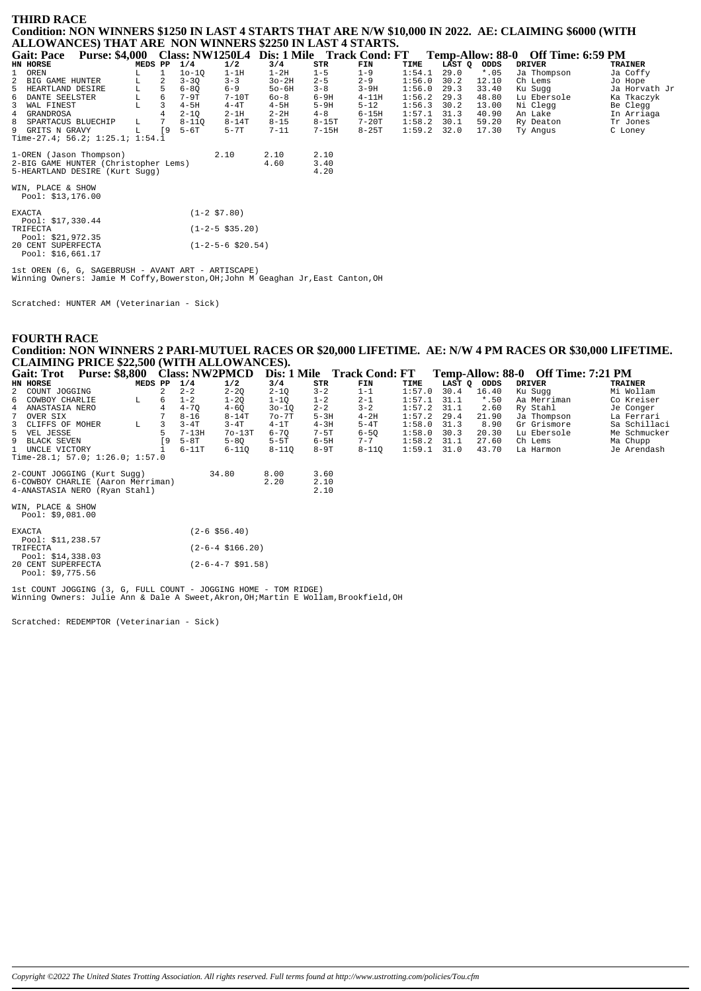#### **THIRD RACE**

Condition: NON WINNERS \$1250 IN LAST 4 STARTS THAT ARE N/W \$10,000 IN 2022. AE: CLAIMING \$6000 (WITH ALLOWANCES) THAT ARE NON WINNERS \$2250 IN LAST 4 STARTS.

| <b>Purse: \$4,000</b><br><b>Gait: Pace</b> |         |    |           |                         | Class: NW1250L4 Dis: 1 Mile Track Cond: FT |         |           |        |        |        | Temp-Allow: 88-0 Off Time: 6:59 PM |                |
|--------------------------------------------|---------|----|-----------|-------------------------|--------------------------------------------|---------|-----------|--------|--------|--------|------------------------------------|----------------|
| HN HORSE                                   | MEDS PP |    | 1/4       | 1/2                     | 3/4                                        | STR     | FIN       | TIME   | LAST Q | ODDS   | <b>DRIVER</b>                      | <b>TRAINER</b> |
| 1 OREN                                     | L       |    | $10-10$   | $1-1H$                  | $1-2H$                                     | $1 - 5$ | $1 - 9$   | 1:54.1 | 29.0   | $*.05$ | Ja Thompson                        | Ja Coffy       |
| BIG GAME HUNTER<br>2                       | г       | 2  | $3 - 30$  | $3 - 3$                 | $3o-2H$                                    | $2 - 5$ | $2 - 9$   | 1:56.0 | 30.2   | 12.10  | Ch Lems                            | Jo Hope        |
| HEARTLAND DESIRE<br>5                      |         | 5  | $6 - 80$  | $6 - 9$                 | $50-6H$                                    | $3 - 8$ | $3-9H$    | 1:56.0 | 29.3   | 33.40  | Ku Sugg                            | Ja Horvath Jr  |
| DANTE SEELSTER<br>6                        | L<br>L  | 6  | $7-9T$    | $7-10T$                 | $60 - 8$                                   | $6-9H$  | $4 - 11H$ | 1:56.2 | 29.3   | 48.80  | Lu Ebersole                        | Ka Tkaczyk     |
| 3<br>WAL FINEST                            |         | 3  | $4-5H$    | $4 - 4T$                | $4-5H$                                     | $5-9H$  | $5 - 12$  | 1:56.3 | 30.2   | 13.00  | Ni Clegg                           | Be Clegg       |
| GRANDROSA<br>4                             |         |    | $2 - 10$  | $2-1H$                  | $2 - 2H$                                   | $4 - 8$ | $6 - 15H$ | 1:57.1 | 31.3   | 40.90  | An Lake                            | In Arriaga     |
| 8<br>SPARTACUS BLUECHIP                    | L       |    | $8 - 110$ | $8 - 14T$               | $8 - 15$                                   | $8-15T$ | $7-20T$   | 1:58.2 | 30.1   | 59.20  | Ry Deaton                          | Tr Jones       |
| 9 GRITS N GRAVY                            | г       | ſ9 | $5-6T$    | $5 - 7T$                | $7 - 11$                                   | $7-15H$ | $8 - 25T$ | 1:59.2 | 32.0   | 17.30  | Ty Angus                           | C Loney        |
| Time-27.4; 56.2; $1:25.1; 1:54.1$          |         |    |           |                         |                                            |         |           |        |        |        |                                    |                |
| 1-OREN (Jason Thompson)                    |         |    |           | 2.10                    | 2.10                                       | 2.10    |           |        |        |        |                                    |                |
| 2-BIG GAME HUNTER (Christopher Lems)       |         |    |           |                         | 4.60                                       | 3.40    |           |        |        |        |                                    |                |
| 5-HEARTLAND DESIRE (Kurt Sugg)             |         |    |           |                         |                                            | 4.20    |           |        |        |        |                                    |                |
| WIN, PLACE & SHOW                          |         |    |           |                         |                                            |         |           |        |        |        |                                    |                |
| Pool: \$13,176.00                          |         |    |           |                         |                                            |         |           |        |        |        |                                    |                |
|                                            |         |    |           |                         |                                            |         |           |        |        |        |                                    |                |
| <b>EXACTA</b>                              |         |    |           | $(1-2 \, \text{S7.80})$ |                                            |         |           |        |        |        |                                    |                |
| Pool: \$17,330.44                          |         |    |           |                         |                                            |         |           |        |        |        |                                    |                |
| TRIFECTA                                   |         |    |           | $(1-2-5$ \$35.20)       |                                            |         |           |        |        |        |                                    |                |
| Pool: $$21,972.35$<br>20 CENT SUPERFECTA   |         |    |           | $(1-2-5-6 \ $20.54)$    |                                            |         |           |        |        |        |                                    |                |
| Pool: \$16,661.17                          |         |    |           |                         |                                            |         |           |        |        |        |                                    |                |
|                                            |         |    |           |                         |                                            |         |           |        |        |        |                                    |                |

lst OREN (6, G, SAGEBRUSH - AVANT ART - ARTISCAPE)<br>Winning Owners: Jamie M Coffy,Bowerston,OH;John M Geaghan Jr,East Canton,OH

Scratched: HUNTER AM (Veterinarian - Sick)

**FOURTH RACE** Condition: NON WINNERS 2 PARI-MUTUEL RACES OR \$20,000 LIFETIME. AE: N/W 4 PM RACES OR \$30,000 LIFETIME. **CLAIMING PRICE \$22,500 (WITH ALLOWANCES).**<br>Coit: Trat. Burge: \$8,800. Class: NW2DMCD. Dis: 1 Mile. Track Cond: ET. Temp-Allow  $00.0$   $\Omega$   $\Omega$ <sup>r</sup> $\Gamma$ <sup>\*</sup>  $7.31 \text{ m}$ 

| Gail: Trou                             |         |                | <b>CIASS: INWZPIVICD</b> |                             | DIS: 1 MIIE |          | <b>Track Cond: FI</b> |        |        |         | <b>Temp-Allow: 88-0 UII Time:</b> /:21 PM |                |
|----------------------------------------|---------|----------------|--------------------------|-----------------------------|-------------|----------|-----------------------|--------|--------|---------|-------------------------------------------|----------------|
| HN HORSE                               | MEDS PP |                | 1/4                      | 1/2                         | 3/4         | STR      | FIN                   | TIME   | LAST Q | ODDS    | <b>DRIVER</b>                             | <b>TRAINER</b> |
| 2 COUNT JOGGING                        |         | $\mathfrak{D}$ | $2 - 2$                  | $2 - 2Q$                    | $2 - 1Q$    | $3 - 2$  | $1 - 1$               | 1:57.0 | 30.4   | 16.40   | Ku Sugg                                   | Mi Wollam      |
| 6 COWBOY CHARLIE                       | L       | 6              | $1 - 2$                  | $1 - 2Q$                    | $1-1Q$      | $1 - 2$  | $2 - 1$               | 1:57.1 | 31.1   | $*$ .50 | Aa Merriman                               | Co Kreiser     |
| 4 ANASTASIA NERO                       |         |                | $4 - 7Q$                 | $4 - 6Q$                    | $30 - 10$   | $2 - 2$  | $3 - 2$               | 1:57.2 | 31.1   | 2.60    | Ry Stahl                                  | Je Conger      |
| OVER SIX                               |         |                | $8 - 16$                 | $8 - 14T$                   | 70-7T       | $5-3H$   | $4-2H$                | 1:57.2 | 29.4   | 21.90   | Ja Thompson                               | La Ferrari     |
| 3 CLIFFS OF MOHER                      | L       | 3              | $3 - 4T$                 | $3-4T$                      | $4-1T$      | $4-3H$   | $5-4T$                | 1:58.0 | 31.3   | 8.90    | Gr Grismore                               | Sa Schillaci   |
| 5 VEL JESSE                            |         | 5.             | $7 - 13H$                | $70-13T$                    | $6 - 70$    | $7 - 5T$ | $6 - 50$              | 1:58.0 | 30.3   | 20.30   | Lu Ebersole                               | Me Schmucker   |
| 9 BLACK SEVEN                          |         | <b>19</b>      | $5-8T$                   | $5 - 80$                    | $5-5T$      | $6-5H$   | $7 - 7$               | 1:58.2 | 31.1   | 27.60   | Ch Lems                                   | Ma Chupp       |
| 1 UNCLE VICTORY                        |         |                | $6-11T$                  | 6-110                       | $8 - 11Q$   | $8-9T$   | $8 - 11Q$             | 1:59.1 | 31.0   | 43.70   | La Harmon                                 | Je Arendash    |
| Time-28.1; 57.0; 1:26.0; 1:57.0        |         |                |                          |                             |             |          |                       |        |        |         |                                           |                |
| 2-COUNT JOGGING (Kurt Sugg)            |         |                |                          | 34.80                       | 8.00        | 3.60     |                       |        |        |         |                                           |                |
| 6-COWBOY CHARLIE (Aaron Merriman)      |         |                |                          |                             | 2.20        | 2.10     |                       |        |        |         |                                           |                |
| 4-ANASTASIA NERO (Ryan Stahl)          |         |                |                          |                             |             | 2.10     |                       |        |        |         |                                           |                |
| WIN, PLACE & SHOW<br>Pool: \$9,081.00  |         |                |                          |                             |             |          |                       |        |        |         |                                           |                |
| <b>EXACTA</b><br>Pool: \$11,238.57     |         |                |                          | $(2 - 6 \ $56.40)$          |             |          |                       |        |        |         |                                           |                |
| TRIFECTA<br>Pool: $$14,338.03$         |         |                |                          | $(2 - 6 - 4 \ $166.20)$     |             |          |                       |        |        |         |                                           |                |
| 20 CENT SUPERFECTA<br>Pool: \$9.775.56 |         |                |                          | $(2-6-4-7 \text{ } $91.58)$ |             |          |                       |        |        |         |                                           |                |

lst COUNT JOGGING (3, G, FULL COUNT - JOGGING HOME - TOM RIDGE)<br>Winning Owners: Julie Ann & Dale A Sweet, Akron, OH; Martin E Wollam, Brookfield, OH

Scratched: REDEMPTOR (Veterinarian - Sick)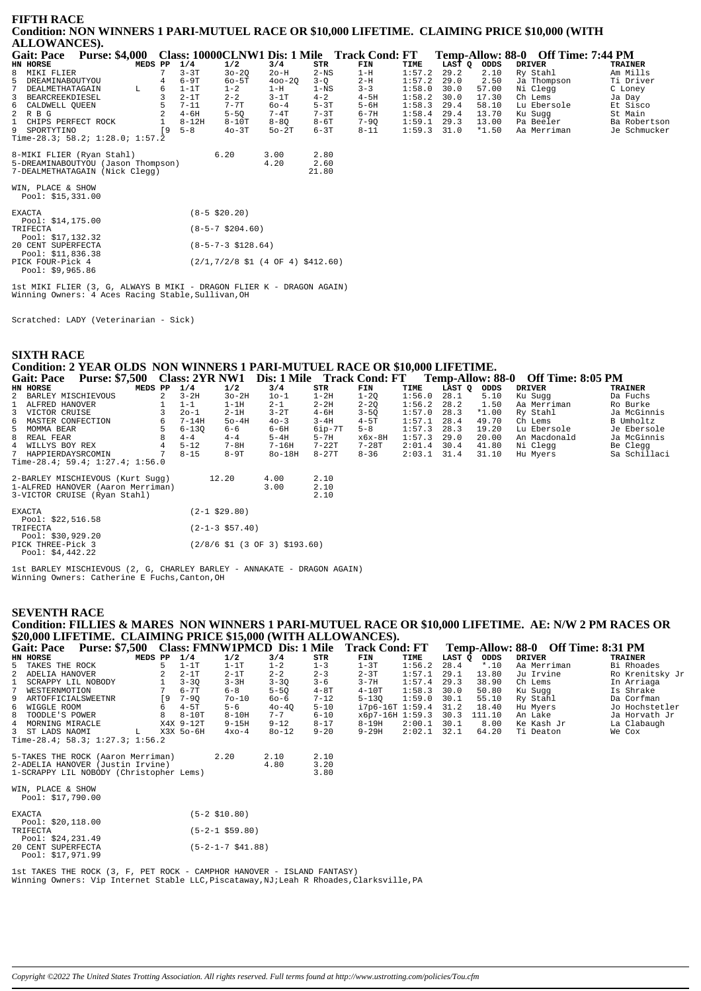| <b>FIFTH RACE</b>                                                                             |         |          |                                     |            |          |                                              |        |        |         |                                    |                |
|-----------------------------------------------------------------------------------------------|---------|----------|-------------------------------------|------------|----------|----------------------------------------------|--------|--------|---------|------------------------------------|----------------|
| Condition: NON WINNERS 1 PARI-MUTUEL RACE OR \$10,000 LIFETIME. CLAIMING PRICE \$10,000 (WITH |         |          |                                     |            |          |                                              |        |        |         |                                    |                |
| <b>ALLOWANCES).</b>                                                                           |         |          |                                     |            |          |                                              |        |        |         |                                    |                |
| <b>Gait: Pace</b><br><b>Purse: \$4,000</b>                                                    |         |          |                                     |            |          | Class: 10000CLNW1 Dis: 1 Mile Track Cond: FT |        |        |         | Temp-Allow: 88-0 Off Time: 7:44 PM |                |
| HN HORSE                                                                                      | MEDS PP | 1/4      | 1/2                                 | 3/4        | STR      | FIN                                          | TIME   | LAST Q | ODDS    | <b>DRIVER</b>                      | <b>TRAINER</b> |
| 8 MIKI FLIER                                                                                  |         | $3 - 3T$ | $30 - 20$                           | 20-H       | $2-NS$   | $1-H$                                        | 1:57.2 | 29.2   | 2.10    | Ry Stahl                           | Am Mills       |
| 5 DREAMINABOUTYOU                                                                             |         | $6-9T$   | $60-5T$                             | $400 - 20$ | $3-Q$    | $2-H$                                        | 1:57.2 | 29.0   | 2.50    | Ja Thompson                        | Ti Driver      |
| 7 DEALMETHATAGAIN<br>L                                                                        | 6       | $1-1T$   | $1 - 2$                             | $1-H$      | $1 - NS$ | $3 - 3$                                      | 1:58.0 | 30.0   | 57.00   | Ni Clegg                           | C Loney        |
| 3 BEARCREEKDIESEL                                                                             |         | $2-1T$   | $2 - 2$                             | $3-1T$     | $4 - 2$  | $4-5H$                                       | 1:58.2 | 30.0   | 17.30   | Ch Lems                            | Ja Day         |
| 6 CALDWELL QUEEN                                                                              |         | $7 - 11$ | $7 - 7T$                            | $60 - 4$   | $5-3T$   | $5-6H$                                       | 1:58.3 | 29.4   | 58.10   | Lu Ebersole                        | Et Sisco       |
| 2 R B G                                                                                       |         | $4-6H$   | $5 - 50$                            | $7-4T$     | $7 - 3T$ | $6 - 7H$                                     | 1:58.4 | 29.4   | 13.70   | Ku Sugg                            | St Main        |
| 1 CHIPS PERFECT ROCK                                                                          |         | $8-12H$  | $8-10T$                             | $8 - 80$   | $8-6T$   | $7 - 90$                                     | 1:59.1 | 29.3   | 13.00   | Pa Beeler                          | Ba Robertson   |
| 9 SPORTYTINO                                                                                  | 19      | $5 - 8$  | $40-3T$                             | $50-2T$    | $6 - 3T$ | $8 - 11$                                     | 1:59.3 | 31.0   | $*1.50$ | Aa Merriman                        | Je Schmucker   |
| Time-28.3; 58.2; $1:28.0; 1:57.2$                                                             |         |          |                                     |            |          |                                              |        |        |         |                                    |                |
| 8-MIKI FLIER (Ryan Stahl)                                                                     |         |          | 6.20                                | 3.00       | 2.80     |                                              |        |        |         |                                    |                |
| 5-DREAMINABOUTYOU (Jason Thompson)                                                            |         |          |                                     | 4.20       | 2.60     |                                              |        |        |         |                                    |                |
| 7-DEALMETHATAGAIN (Nick Clegg)                                                                |         |          |                                     |            | 21.80    |                                              |        |        |         |                                    |                |
| WIN, PLACE & SHOW<br>Pool: \$15,331.00                                                        |         |          |                                     |            |          |                                              |        |        |         |                                    |                |
|                                                                                               |         |          |                                     |            |          |                                              |        |        |         |                                    |                |
| <b>EXACTA</b><br>Pool: \$14,175.00                                                            |         |          | $(8-5 \; $20.20)$                   |            |          |                                              |        |        |         |                                    |                |
| TRIFECTA<br>Pool: \$17,132.32                                                                 |         |          | $(8-5-7 \; $204.60)$                |            |          |                                              |        |        |         |                                    |                |
| 20 CENT SUPERFECTA                                                                            |         |          | $(8-5-7-3 \text{ } $128.64)$        |            |          |                                              |        |        |         |                                    |                |
| Pool: \$11,836.38<br>PICK FOUR-Pick 4<br>$\sim$ $\sim$ $\sim$ $\sim$ $\sim$ $\sim$ $\sim$     |         |          | $(2/1,7/2/8$ \$1 (4 OF 4) \$412.60) |            |          |                                              |        |        |         |                                    |                |

1st MIKI FLIER (3, G, ALWAYS B MIKI - DRAGON FLIER K - DRAGON AGAIN)<br>Winning Owners: 4 Aces Racing Stable, Sullivan, OH

Scratched: LADY (Veterinarian - Sick)

Pool: \$9,965.86

**SIXTH RACE** 

## Condition: 2 YEAR OLDS NON WINNERS 1 PARI-MUTUEL RACE OR \$10,000 LIFETIME.

| <b>Gait: Pace</b>                      | <b>Purse: \$7,500</b>                |                | <b>Class: 2YR NW1</b> |                   | Dis: 1 Mile Track Cond: FT      |           |          |        |        | <b>Temp-Allow: 88-0</b> | <b>Off Time: 8:05 PM</b> |                |
|----------------------------------------|--------------------------------------|----------------|-----------------------|-------------------|---------------------------------|-----------|----------|--------|--------|-------------------------|--------------------------|----------------|
| HN HORSE                               |                                      | MEDS PP        | 1/4                   | 1/2               | 3/4                             | STR       | FIN      | TIME   | LAST O | ODDS                    | <b>DRIVER</b>            | <b>TRAINER</b> |
| 2 BARLEY MISCHIEVOUS                   |                                      | $\overline{a}$ | $3-2H$                | $3o-2H$           | $10-1$                          | $1-2H$    | $1-2Q$   | 1:56.0 | 28.1   | 5.10                    | Ku Sugg                  | Da Fuchs       |
| ALFRED HANOVER                         |                                      |                | $1 - 1$               | $1-1H$            | $2 - 1$                         | $2 - 2H$  | $2 - 20$ | 1:56.2 | 28.2   | 1.50                    | Aa Merriman              | Ro Burke       |
| 3 VICTOR CRUISE                        |                                      |                | $20 - 1$              | $2-1H$            | $3-2T$                          | $4-6H$    | $3 - 50$ | 1:57.0 | 28.3   | $*1.00$                 | Ry Stahl                 | Ja McGinnis    |
| 6 MASTER CONFECTION                    |                                      | 6              | $7 - 14H$             | $50-4H$           | $40 - 3$                        | $3 - 4H$  | $4-5T$   | 1:57.1 | 28.4   | 49.70                   | Ch Lems                  | B Umholtz      |
| 5 MOMMA BEAR                           |                                      |                | $6 - 130$             | $6 - 6$           | $6 - 6H$                        | $6ip-7T$  | $5 - 8$  | 1:57.3 | 28.3   | 19.20                   | Lu Ebersole              | Je Ebersole    |
| 8 REAL FEAR                            |                                      |                | $4 - 4$               | $4 - 4$           | $5-4H$                          | $5 - 7H$  | $x6x-8H$ | 1:57.3 | 29.0   | 20.00                   | An Macdonald             | Ja McGinnis    |
| 4 WILLYS BOY REX                       |                                      |                | $5 - 12$              | $7 - 8H$          | $7 - 16H$                       | $7 - 22T$ | $7-28T$  | 2:01.4 | 30.4   | 41.80                   | Ni Clegg                 | Be Clegg       |
| 7 HAPPIERDAYSRCOMIN                    |                                      |                | $8 - 15$              | $8-9T$            | $80-18H$                        | $8 - 27T$ | $8 - 36$ | 2:03.1 | 31.4   | 31.10                   | Hu Myers                 | Sa Schillaci   |
|                                        | Time-28.4; 59.4; $1:27.4$ ; $1:56.0$ |                |                       |                   |                                 |           |          |        |        |                         |                          |                |
|                                        | 2-BARLEY MISCHIEVOUS (Kurt Sugg)     |                |                       | 12.20             | 4.00                            | 2.10      |          |        |        |                         |                          |                |
|                                        | 1-ALFRED HANOVER (Aaron Merriman)    |                |                       |                   | 3.00                            | 2.10      |          |        |        |                         |                          |                |
|                                        | 3-VICTOR CRUISE (Ryan Stahl)         |                |                       |                   |                                 | 2.10      |          |        |        |                         |                          |                |
| <b>EXACTA</b><br>Pool: $$22,516.58$    |                                      |                |                       | (2-1 \$29.80)     |                                 |           |          |        |        |                         |                          |                |
| TRIFECTA<br>Pool: \$30,929.20          |                                      |                |                       | $(2-1-3$ \$57.40) |                                 |           |          |        |        |                         |                          |                |
| PICK THREE-Pick 3<br>Pool: $$4,442.22$ |                                      |                |                       |                   | $(2/8/6$ \$1 (3 OF 3) \$193.60) |           |          |        |        |                         |                          |                |

1st BARLEY MISCHIEVOUS (2, G, CHARLEY BARLEY - ANNAKATE - DRAGON AGAIN)<br>Winning Owners: Catherine E Fuchs, Canton, OH

## **SEVENTH RACE**

Condition: FILLIES & MARES NON WINNERS 1 PARI-MUTUEL RACE OR \$10,000 LIFETIME. AE: N/W 2 PM RACES OR \$20,000 LIFETIME. CLAIMING PRICE \$15,000 (WITH ALLOWANCES).  $\mathbf{A}$  $\sim 000$   $\Omega$  of  $\Gamma$ :  $0.21 \text{ } \text{DM}$ 

| Gait: Pace           |                                         | <b>Purse: \$7,500</b><br>Class: FMNWIPMCD Dis: 1 Mile |     |           |           |           | Track Cond: FT |                        | Temp-Allow: 88-0 Off Time: 8:31 PM |        |         |               |                 |  |
|----------------------|-----------------------------------------|-------------------------------------------------------|-----|-----------|-----------|-----------|----------------|------------------------|------------------------------------|--------|---------|---------------|-----------------|--|
| HN HORSE             |                                         | MEDS PP                                               |     | 1/4       | 1/2       | 3/4       | STR            | FIN                    | TIME                               | LAST Q | ODDS    | <b>DRIVER</b> | <b>TRAINER</b>  |  |
| 5 TAKES THE ROCK     |                                         |                                                       |     | $1-1T$    | $1-1T$    | $1 - 2$   | $1 - 3$        | $1-3T$                 | 1:56.2                             | 28.4   | $*$ .10 | Aa Merriman   | Bi Rhoades      |  |
| 2 ADELIA HANOVER     |                                         |                                                       |     | $2-1T$    | $2-1T$    | $2 - 2$   | $2 - 3$        | $2 - 3T$               | 1:57.1                             | 29.1   | 13.80   | Ju Irvine     | Ro Krenitsky Jr |  |
| SCRAPPY LIL NOBODY   |                                         |                                                       |     | $3 - 30$  | $3 - 3H$  | $3 - 30$  | $3 - 6$        | $3 - 7H$               | 1:57.4                             | 29.3   | 38.90   | Ch Lems       | In Arriaga      |  |
| 7 WESTERNMOTION      |                                         |                                                       |     | $6 - 7T$  | $6 - 8$   | $5 - 50$  | $4 - 8T$       | $4-10T$                | 1:58.3                             | 30.0   | 50.80   | Ku Sugg       | Is Shrake       |  |
| 9 ARTOFFICIALSWEETNR |                                         |                                                       | ſ9. | $7 - 90$  | $70 - 10$ | $60 - 6$  | $7 - 12$       | $5 - 130$              | 1:59.0                             | 30.1   | 55.10   | Ry Stahl      | Da Corfman      |  |
| 6 WIGGLE ROOM        |                                         |                                                       | 6   | $4-5T$    | $5 - 6$   | $40 - 40$ | $5 - 10$       | $i7p6-16T$ 1:59.4 31.2 |                                    |        | 18.40   | Hu Myers      | Jo Hochstetler  |  |
| 8 TOODLE'S POWER     |                                         |                                                       | 8   | $8-10T$   | $8 - 10H$ | $7 - 7$   | $6 - 10$       | x6p7-16H 1:59.3        |                                    | 30.3   | 111.10  | An Lake       | Ja Horvath Jr   |  |
| 4 MORNING MIRACLE    |                                         |                                                       |     | X4X 9-12T | $9 - 15H$ | $9 - 12$  | $8 - 17$       | $8-19H$                | 2:00.1                             | 30.1   | 8.00    | Ke Kash Jr    | La Clabaugh     |  |
| 3 ST LADS NAOMI      |                                         | L                                                     |     | X3X 50-6H | $4x0-4$   | $80 - 12$ | $9 - 20$       | $9 - 29H$              | 2:02.1                             | 32.1   | 64.20   | Ti Deaton     | We Cox          |  |
|                      | Time-28.4; 58.3; 1:27.3; 1:56.2         |                                                       |     |           |           |           |                |                        |                                    |        |         |               |                 |  |
|                      | 5-TAKES THE ROCK (Aaron Merriman)       |                                                       |     |           | 2.20      | 2.10      | 2.10           |                        |                                    |        |         |               |                 |  |
|                      | 2-ADELIA HANOVER (Justin Irvine)        |                                                       |     |           |           | 4.80      | 3.20           |                        |                                    |        |         |               |                 |  |
|                      | 1-SCRAPPY LIL NOBODY (Christopher Lems) |                                                       |     |           |           |           | 3.80           |                        |                                    |        |         |               |                 |  |
| WIN, PLACE & SHOW    |                                         |                                                       |     |           |           |           |                |                        |                                    |        |         |               |                 |  |

| Pool: \$17,790.00 |  |
|-------------------|--|
|-------------------|--|

| <b>EXACTA</b>      | $(5-2 \; $10.80)$    |
|--------------------|----------------------|
| Pool: $$20,118.00$ |                      |
| TRIFECTA           | $(5-2-1$ \$59.80)    |
| Pool: $$24.231.49$ |                      |
| 20 CENT SUPERFECTA | $(5-2-1-7 \ $41.88)$ |
| Pool: \$17,971.99  |                      |

lst TAKES THE ROCK (3, F, PET ROCK - CAMPHOR HANOVER - ISLAND FANTASY)<br>Winning Owners: Vip Internet Stable LLC, Piscataway, NJ;Leah R Rhoades, Clarksville, PA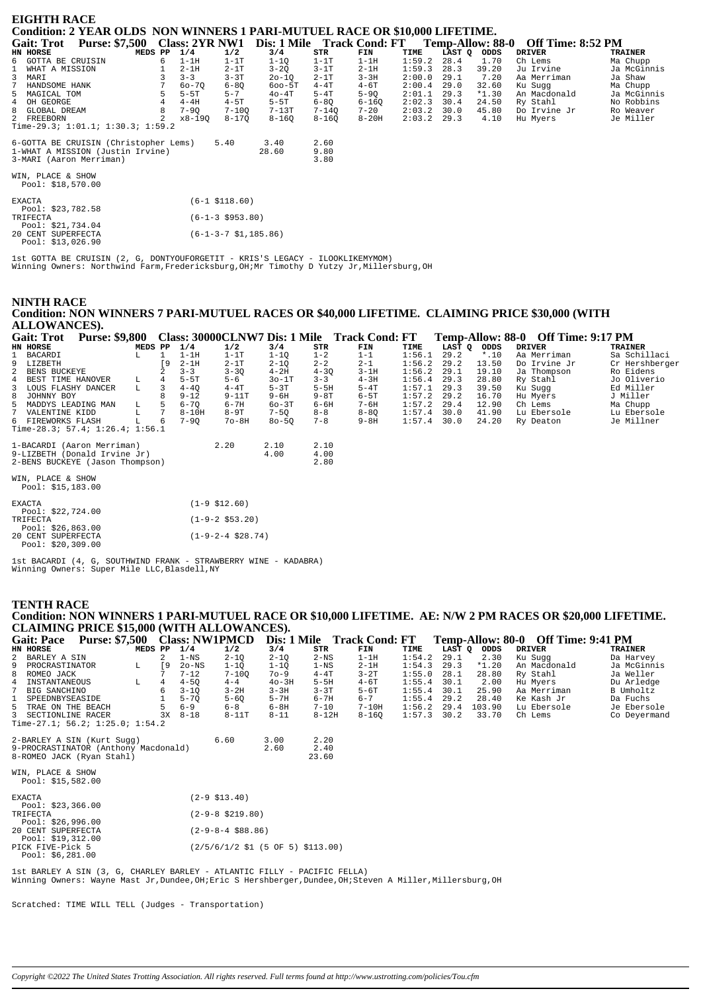| <b>EIGHTH RACE</b><br>Condition: 2 YEAR OLDS NON WINNERS 1 PARI-MUTUEL RACE OR \$10,000 LIFETIME.    |   |                       |                         |                            |                      |           |        |        |                         |                   |                |
|------------------------------------------------------------------------------------------------------|---|-----------------------|-------------------------|----------------------------|----------------------|-----------|--------|--------|-------------------------|-------------------|----------------|
| <b>Purse: \$7,500</b><br><b>Gait: Trot</b>                                                           |   | <b>Class: 2YR NW1</b> |                         | Dis: 1 Mile Track Cond: FT |                      |           |        |        | <b>Temp-Allow: 88-0</b> | Off Time: 8:52 PM |                |
| HN HORSE<br>MEDS PP                                                                                  |   | 1/4                   | 1/2                     | 3/4                        | STR                  | FIN       | TIME   | LAST Q | ODDS                    | <b>DRIVER</b>     | <b>TRAINER</b> |
| GOTTA BE CRUISIN<br>6                                                                                | 6 | $1-1H$                | $1-1T$                  | $1-1Q$                     | $1-1T$               | $1-1H$    | 1:59.2 | 28.4   | 1.70                    | Ch Lems           | Ma Chupp       |
| WHAT A MISSION                                                                                       |   | $2-1H$                | $2 - 1T$                | $3 - 2Q$                   | $3-1T$               | $2-1H$    | 1:59.3 | 28.3   | 39.20                   | Ju Irvine         | Ja McGinnis    |
| 3<br>MARI                                                                                            |   | $3 - 3$               | $3 - 3T$                | $20 - 1Q$                  | $2-1T$               | $3 - 3H$  | 2:00.0 | 29.1   | 7.20                    | Aa Merriman       | Ja Shaw        |
| 7<br>HANDSOME HANK                                                                                   |   | $60 - 70$             | $6 - 80$                | $600 - 5T$                 | $4 - 4T$             | $4-6T$    | 2:00.4 | 29.0   | 32.60                   | Ku Sugg           | Ma Chupp       |
| 5<br>MAGICAL TOM                                                                                     | 5 | $5-5T$                | $5 - 7$                 | $40-4T$                    | $5-4T$               | $5-9Q$    | 2:01.1 | 29.3   | $*1.30$                 | An Macdonald      | Ja McGinnis    |
| OH GEORGE<br>4                                                                                       | 4 | $4-4H$                | $4-5T$                  | $5-5T$                     | $6 - 8Q$             | $6 - 16Q$ | 2:02.3 | 30.4   | 24.50                   | Ry Stahl          | No Robbins     |
| 8<br>GLOBAL DREAM                                                                                    | 8 | $7 - 90$              | $7 - 100$               | $7-13T$                    | $7 - 140$            | $7 - 20$  | 2:03.2 | 30.0   | 45.80                   | Do Irvine Jr      | Ro Weaver      |
| 2 FREEBORN<br>Time-29.3; $1:01.1; 1:30.3; 1:59.2$                                                    |   | $x8-19Q$              | $8 - 170$               | $8 - 16Q$                  | $8 - 16Q$            | $8-20H$   | 2:03.2 | 29.3   | 4.10                    | Hu Myers          | Je Miller      |
| 6-GOTTA BE CRUISIN (Christopher Lems)<br>1-WHAT A MISSION (Justin Irvine)<br>3-MARI (Aaron Merriman) |   |                       | 5.40                    | 3.40<br>28.60              | 2.60<br>9.80<br>3.80 |           |        |        |                         |                   |                |
| WIN, PLACE & SHOW<br>Pool: \$18,570.00                                                               |   |                       |                         |                            |                      |           |        |        |                         |                   |                |
| <b>EXACTA</b><br>Pool: \$23,782.58                                                                   |   |                       | $(6-1$ \$118.60)        |                            |                      |           |        |        |                         |                   |                |
| TRIFECTA<br>Pool: \$21,734.04                                                                        |   |                       | $(6-1-3 \; $953.80)$    |                            |                      |           |        |        |                         |                   |                |
| 20 CENT SUPERFECTA<br>Pool: \$13,026.90                                                              |   |                       | $(6-1-3-7 \ $1,185.86)$ |                            |                      |           |        |        |                         |                   |                |

1st GOTTA BE CRUISIN (2, G, DONTYOUFORGETIT - KRIS'S LEGACY - ILOOKLIKEMYMOM) Winning Owners: Northwind Farm,Fredericksburg,OH;Mr Timothy D Yutzy Jr,Millersburg,OH

## **NINTH RACE Condition: NON WINNERS 7 PARI-MUTUEL RACES OR \$40,000 LIFETIME. CLAIMING PRICE \$30,000 (WITH ALLOWANCES).**

|   | <b>Gait: Trot</b>                       | <b>Purse: \$9,800</b>                |         |     |           |                     |           |          | Class: 30000CLNW7 Dis: 1 Mile Track Cond: FT |        |        |         | Temp-Allow: 88-0 Off Time: 9:17 PM |                |
|---|-----------------------------------------|--------------------------------------|---------|-----|-----------|---------------------|-----------|----------|----------------------------------------------|--------|--------|---------|------------------------------------|----------------|
|   | HN HORSE                                |                                      | MEDS PP |     | 1/4       | 1/2                 | 3/4       | STR      | FIN                                          | TIME   | LAST Q | ODDS    | <b>DRIVER</b>                      | <b>TRAINER</b> |
|   | BACARDI                                 |                                      | L       |     | $1-1H$    | $1-1T$              | $1 - 10$  | $1 - 2$  | $1 - 1$                                      | 1:56.1 | 29.2   | $*$ .10 | Aa Merriman                        | Sa Schillaci   |
| 9 | LIZBETH                                 |                                      |         | [ 9 | $2-1H$    | $2-1T$              | $2 - 1Q$  | $2 - 2$  | $2 - 1$                                      | 1:56.2 | 29.2   | 13.50   | Do Irvine Jr                       | Cr Hershberger |
|   | BENS BUCKEYE                            |                                      |         |     | $3 - 3$   | $3 - 3Q$            | $4-2H$    | $4 - 30$ | $3-1H$                                       | 1:56.2 | 29.1   | 19.10   | Ja Thompson                        | Ro Eidens      |
| 4 | BEST TIME HANOVER                       |                                      | L       | 4   | $5-5T$    | $5 - 6$             | $30-1T$   | $3 - 3$  | $4-3H$                                       | 1:56.4 | 29.3   | 28.80   | Ry Stahl                           | Jo Oliverio    |
| 3 | LOUS FLASHY DANCER                      |                                      | L.      |     | $4 - 40$  | $4 - 4T$            | $5-3T$    | $5-5H$   | $5-4T$                                       | 1:57.1 | 29.3   | 39.50   | Ku Suqq                            | Ed Miller      |
| 8 | JOHNNY BOY                              |                                      |         |     | $9 - 12$  | $9 - 11T$           | $9 - 6H$  | $9 - 8T$ | $6-5T$                                       | 1:57.2 | 29.2   | 16.70   | Hu Myers                           | J Miller       |
| 5 | MADDYS LEADING MAN                      |                                      | L       |     | $6 - 70$  | $6 - 7H$            | $60-3T$   | $6 - 6H$ | 7-6H                                         | 1:57.2 | 29.4   | 12.90   | Ch Lems                            | Ma Chupp       |
|   | VALENTINE KIDD                          |                                      | L       | 7   | $8 - 10H$ | $8-9T$              | $7 - 50$  | $8 - 8$  | $8 - 80$                                     | 1:57.4 | 30.0   | 41.90   | Lu Ebersole                        | Lu Ebersole    |
|   | 6 FIREWORKS FLASH                       |                                      |         | 6   | $7 - 90$  | $7o-8H$             | $80 - 50$ | $7 - 8$  | $9 - 8H$                                     | 1:57.4 | 30.0   | 24.20   | Ry Deaton                          | Je Millner     |
|   |                                         | Time-28.3; 57.4; $1:26.4$ ; $1:56.1$ |         |     |           |                     |           |          |                                              |        |        |         |                                    |                |
|   |                                         | 1-BACARDI (Aaron Merriman)           |         |     |           | 2.20                | 2.10      | 2.10     |                                              |        |        |         |                                    |                |
|   |                                         | 9-LIZBETH (Donald Irvine Jr)         |         |     |           |                     | 4.00      | 4.00     |                                              |        |        |         |                                    |                |
|   |                                         | 2-BENS BUCKEYE (Jason Thompson)      |         |     |           |                     |           | 2.80     |                                              |        |        |         |                                    |                |
|   | WIN, PLACE & SHOW<br>Pool: $$15,183.00$ |                                      |         |     |           |                     |           |          |                                              |        |        |         |                                    |                |
|   | <b>EXACTA</b><br>Pool: $$22,724.00$     |                                      |         |     |           | $(1-9 \; $12.60)$   |           |          |                                              |        |        |         |                                    |                |
|   | TRIFECTA                                |                                      |         |     |           | $(1-9-2 \; $53.20)$ |           |          |                                              |        |        |         |                                    |                |

Pool: \$26,863.00 20 CENT SUPERFECTA (1-9-2-4 \$28.74) Pool: \$20,309.00

1st BACARDI (4, G, SOUTHWIND FRANK - STRAWBERRY WINE - KADABRA) Winning Owners: Super Mile LLC,Blasdell,NY

# **TENTH RACE**

**Condition: NON WINNERS 1 PARI-MUTUEL RACE OR \$10,000 LIFETIME. AE: N/W 2 PM RACES OR \$20,000 LIFETIME. CLAIMING PRICE \$15,000 (WITH ALLOWANCES).**

|   | <b>Purse: \$7,500</b><br><b>Gait: Pace</b> |         |    |          | <b>Class: NW1PMCD</b> |          |           | Dis: 1 Mile Track Cond: FT |        |        | Temp-Allow: 80-0 | <b>Off Time: 9:41 PM</b> |                |
|---|--------------------------------------------|---------|----|----------|-----------------------|----------|-----------|----------------------------|--------|--------|------------------|--------------------------|----------------|
|   | HN HORSE                                   | MEDS PP |    | 1/4      | 1/2                   | 3/4      | STR       | FIN                        | TIME   | LAST O | ODDS             | <b>DRIVER</b>            | <b>TRAINER</b> |
|   | 2 BARLEY A SIN                             |         |    | $1 - NS$ | $2 - 10$              | $2 - 10$ | $2-NS$    | $1-1H$                     | 1:54.2 | 29.1   | 2.30             | Ku Sugg                  | Da Harvey      |
|   | 9 PROCRASTINATOR                           | L.      | Г9 | $2o$ -NS | 1-10                  | $1 - 10$ | 1-NS      | $2-1H$                     | 1:54.3 | 29.3   | $*1.20$          | An Macdonald             | Ja McGinnis    |
|   | 8 ROMEO JACK                               |         |    | $7 - 12$ | $7 - 100$             | $70 - 9$ | $4-4T$    | $3-2T$                     | 1:55.0 | 28.1   | 28.80            | Ry Stahl                 | Ja Weller      |
|   | 4 INSTANTANEOUS                            | L       | 4  | $4 - 50$ | $4 - 4$               | $40-3H$  | $5-5H$    | $4-6T$                     | 1:55.4 | 30.1   | 2.00             | Hu Myers                 | Du Arledge     |
| 7 | BIG SANCHINO                               |         |    | $3 - 10$ | $3-2H$                | $3 - 3H$ | $3 - 3T$  | $5 - 6T$                   | 1:55.4 | 30.1   | 25.90            | Aa Merriman              | B Umholtz      |
|   | 1 SPEEDNBYSEASIDE                          |         |    | $5 - 70$ | $5 - 60$              | $5-7H$   | $6 - 7H$  | $6 - 7$                    | 1:55.4 | 29.2   | 28.40            | Ke Kash Jr               | Da Fuchs       |
|   | 5 TRAE ON THE BEACH                        |         |    | 6-9      | $6 - 8$               | $6-8H$   | $7 - 10$  | $7-10H$                    | 1:56.2 | 29.4   | 103.90           | Lu Ebersole              | Je Ebersole    |
|   | 3 SECTIONLINE RACER                        |         | 3x | $8 - 18$ | $8-11T$               | $8 - 11$ | $8 - 12H$ | $8 - 160$                  | 1:57.3 | 30.2   | 33.70            | Ch Lems                  | Co Devermand   |
|   | Time-27.1; $56.2; 1:25.0; 1:54.2$          |         |    |          |                       |          |           |                            |        |        |                  |                          |                |
|   | 2-BARLEY A SIN (Kurt Sugg)                 |         |    |          | 6.60                  | 3.00     | 2.20      |                            |        |        |                  |                          |                |
|   | 9-PROCRASTINATOR (Anthony Macdonald)       |         |    |          |                       | 2.60     | 2.40      |                            |        |        |                  |                          |                |
|   | 8-ROMEO JACK (Ryan Stahl)                  |         |    |          |                       |          | 23.60     |                            |        |        |                  |                          |                |

WIN, PLACE & SHOW Pool: \$15,582.00

| <b>EXACTA</b>      | $(2-9$ \$13.40)                                                                |
|--------------------|--------------------------------------------------------------------------------|
| Pool: $$23,366.00$ |                                                                                |
| TRIFECTA           | $(2-9-8 \; $219.80)$                                                           |
| Pool: $$26,996.00$ |                                                                                |
| 20 CENT SUPERFECTA | $(2 - 9 - 8 - 4 \ $88.86)$                                                     |
| Pool: \$19,312.00  |                                                                                |
| PICK FIVE-Pick 5   | $(2/5/6/1/2 \text{ } $1 \text{ } (5 \text{ } 0F \text{ } 5) \text{ } $113.00)$ |
| Pool: $$6,281.00$  |                                                                                |
|                    |                                                                                |

1st BARLEY A SIN (3, G, CHARLEY BARLEY - ATLANTIC FILLY - PACIFIC FELLA) Winning Owners: Wayne Mast Jr,Dundee,OH;Eric S Hershberger,Dundee,OH;Steven A Miller,Millersburg,OH

Scratched: TIME WILL TELL (Judges - Transportation)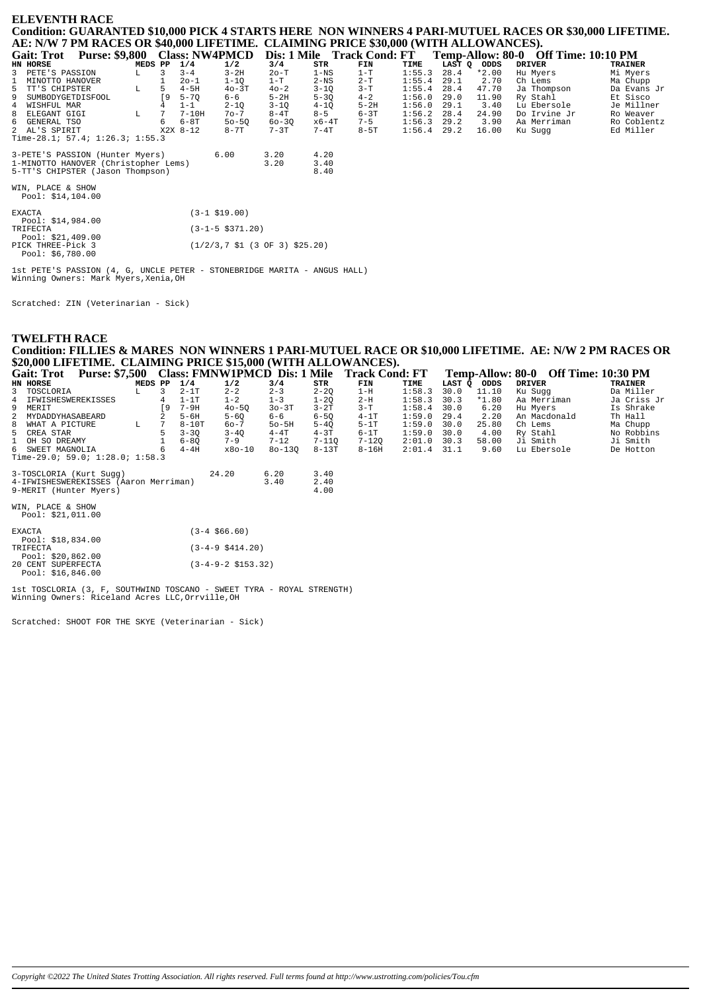|                   | <b>ELEVENTH RACE</b>                                                                |         |    |            |           |           |               |                                           |               |        |         |                                                                                                       |             |
|-------------------|-------------------------------------------------------------------------------------|---------|----|------------|-----------|-----------|---------------|-------------------------------------------|---------------|--------|---------|-------------------------------------------------------------------------------------------------------|-------------|
|                   |                                                                                     |         |    |            |           |           |               |                                           |               |        |         | Condition: GUARANTED \$10,000 PICK 4 STARTS HERE NON WINNERS 4 PARI-MUTUEL RACES OR \$30,000 LIFETIME |             |
|                   | AE: N/W 7 PM RACES OR \$40,000 LIFETIME. CLAIMING PRICE \$30,000 (WITH ALLOWANCES). |         |    |            |           |           |               |                                           |               |        |         |                                                                                                       |             |
| <b>Gait: Trot</b> | <b>Purse: \$9,800</b>                                                               |         |    |            |           |           |               | Class: NW4PMCD Dis: 1 Mile Track Cond: FT |               |        |         | Temp-Allow: 80-0 Off Time: 10:10 PM                                                                   |             |
| HN HORSE          |                                                                                     | MEDS PP |    | 1/4        | 1/2       | 3/4       | STR           | FIN                                       | TIME          | LAST O | ODDS    | <b>DRIVER</b>                                                                                         | TRAINER     |
| 3 PETE'S PASSION  |                                                                                     | L       |    | $3 - 4$    | $3-2H$    | $2o-T$    | $1 - NS$      | $1-T$                                     | 1:55.3        | 28.4   | $*2.00$ | Hu Myers                                                                                              | Mi Myers    |
|                   | 1 MINOTTO HANOVER                                                                   |         |    | $20 - 1$   | $1 - 10$  | $1-T$     | $2-\text{NS}$ | $2-T$                                     | 1:55.4        | 29.1   | 2.70    | Ch Lems                                                                                               | Ma Chupp    |
| 5 TT'S CHIPSTER   |                                                                                     | T.      | .5 | $4 - 5H$   | $40-3T$   | $40 - 2$  | $3 - 10$      | $3-T$                                     | $1:55.4$ 28.4 |        | 47.70   | Ja Thompson                                                                                           | Da Evans Jr |
|                   | 9 SUMBODYGETDISFOOL                                                                 |         | ۰9 | $5 - 70$   | $6 - 6$   | $5-2H$    | $5 - 30$      | $4 - 2$                                   | 1:56.0        | 29.0   | 11.90   | Ry Stahl                                                                                              | Et Sisco    |
| 4 WISHFUL MAR     |                                                                                     |         |    | $1 - 1$    | $2 - 10$  | $3 - 10$  | $4 - 10$      | $5-2H$                                    | 1:56.0        | 29.1   | 3.40    | Lu Ebersole                                                                                           | Je Millner  |
| 8 ELEGANT GIGI    |                                                                                     | T.      |    | $7 - 10H$  | $70 - 7$  | $8-4T$    | $8 - 5$       | $6 - 3T$                                  | $1:56.2$ 28.4 |        | 24.90   | Do Irvine Jr                                                                                          | Ro Weaver   |
| 6 GENERAL TSO     |                                                                                     |         | 6  | 6-8T       | $50 - 50$ | $60 - 30$ | x6-4T         | $7 - 5$                                   | $1:56.3$ 29.2 |        | 3.90    | Aa Merriman                                                                                           | Ro Coblentz |
| 2 AL'S SPIRIT     |                                                                                     |         |    | $X2X$ 8-12 | $8-7T$    | $7 - 3T$  | $7 - 4T$      | $8-5T$                                    | 1:56.4        | 29.2   | 16.00   | Ku Sugg                                                                                               | Ed Miller   |
|                   | Time-28.1; 57.4; $1:26.3$ ; $1:55.3$                                                |         |    |            |           |           |               |                                           |               |        |         |                                                                                                       |             |

3-PETE'S PASSION (Hunter Myers)<br>1-MINOTTO HANOVER (Christopher Lems)<br>5-TT'S CHIPSTER (Jason Thompson)  $\begin{array}{c} 4.20 \\ 3.40 \\ 8.40 \end{array}$  $6.00$  $3.20$ <br> $3.20$ 

WIN, PLACE & SHOW<br>Pool: \$14,104.00

| <b>EXACTA</b><br>Pool: \$14,984.00                           | $(3-1$ \$19.00)                                                             |  |  |  |  |  |  |  |
|--------------------------------------------------------------|-----------------------------------------------------------------------------|--|--|--|--|--|--|--|
| TRIFECTA                                                     | $(3-1-5 \text{ } $371.20)$                                                  |  |  |  |  |  |  |  |
| Pool: $$21,409.00$<br>PICK THREE-Pick 3<br>Pool: $$6,780.00$ | $(1/2/3.7 \text{ } SL \text{ } (3 \text{ } OF \text{ } 3) \text{ } S25.20)$ |  |  |  |  |  |  |  |

1st PETE'S PASSION (4, G, UNCLE PETER - STONEBRIDGE MARITA - ANGUS HALL) Winning Owners: Mark Myers, Xenia, OH

Scratched: ZIN (Veterinarian - Sick)

**TWELFTH RACE** Condition: FILLIES & MARES NON WINNERS 1 PARI-MUTUEL RACE OR \$10,000 LIFETIME. AE: N/W 2 PM RACES OR \$20,000 LIFETIME. CLAIMING PRICE \$15,000 (WITH ALLOWANCES).<br>\$20,000 LIFETIME. CLAIMING PRICE \$15,000 (WITH ALLOWANCES).<br>Gait: Trot Purse: \$7,500 Class: FMNW1PMCD Dis: 1 Mile Track Cond: FT Temp-Allow: 80-0 Off Time: 10:30

| Gall, TTOL THESE, \$1,000 CRESS, FILITY IT INCLE DIS, I MIRE |                                        |         |    |          |                 |            |           | <b>TIALA CONU, L'I</b> |        | <b>TUMP-ANOW.</b> OU'D UIL THING. TO.OU I IVI |         |               |                |  |
|--------------------------------------------------------------|----------------------------------------|---------|----|----------|-----------------|------------|-----------|------------------------|--------|-----------------------------------------------|---------|---------------|----------------|--|
|                                                              | HN HORSE                               | MEDS PP |    | 1/4      | 1/2             | 3/4        | STR       | FIN                    | TIME   | LAST Q                                        | ODDS    | <b>DRIVER</b> | <b>TRAINER</b> |  |
|                                                              | 3 TOSCLORIA                            | L       | 3  | $2-1T$   | $2 - 2$         | $2 - 3$    | $2 - 20$  | $1-H$                  | 1:58.3 | 30.0                                          | 11.10   | Ku Sugg       | Da Miller      |  |
|                                                              | 4 IFWISHESWEREKISSES                   |         | 4  | $1-1T$   | $1 - 2$         | $1 - 3$    | $1 - 20$  | $2-H$                  | 1:58.3 | 30.3                                          | $*1.80$ | Aa Merriman   | Ja Criss Jr    |  |
|                                                              | 9 MERIT                                |         | ſ9 | 7-9H     | $40 - 50$       | $30-3T$    | $3-2T$    | $3-T$                  | 1:58.4 | 30.0                                          | 6.20    | Hu Myers      | Is Shrake      |  |
|                                                              | 2 MYDADDYHASABEARD                     |         |    | $5 - 6H$ | $5 - 60$        | 6-6        | $6 - 50$  | $4-1T$                 | 1:59.0 | 29.4                                          | 2.20    | An Macdonald  | Th Hall        |  |
|                                                              | 8 WHAT A PICTURE                       | L       | 7  | $8-10T$  | $60 - 7$        | $50 - 5H$  | $5 - 40$  | $5-1T$                 | 1:59.0 | 30.0                                          | 25.80   | Ch Lems       | Ma Chupp       |  |
|                                                              | 5 CREA STAR                            |         | 5  | $3 - 30$ | $3 - 40$        | $4-4T$     | $4 - 3T$  | $6-1T$                 | 1:59.0 | 30.0                                          | 4.00    | Ry Stahl      | No Robbins     |  |
|                                                              | 1 OH SO DREAMY                         |         |    | $6 - 80$ | $7 - 9$         | $7 - 12$   | $7 - 110$ | $7 - 120$              | 2:01.0 | 30.3                                          | 58.00   | Ji Smith      | Ji Smith       |  |
|                                                              | 6 SWEET MAGNOLIA                       |         | 6  | $4-4H$   | $x80-10$        | $80 - 130$ | $8-13T$   | $8 - 16H$              | 2:01.4 | 31.1                                          | 9.60    | Lu Ebersole   | De Hotton      |  |
|                                                              | Time-29.0; 59.0; 1:28.0; 1:58.3        |         |    |          |                 |            |           |                        |        |                                               |         |               |                |  |
|                                                              | 3-TOSCLORIA (Kurt Sugg)                |         |    |          | 24.20           | 6.20       | 3.40      |                        |        |                                               |         |               |                |  |
|                                                              | 4-IFWISHESWEREKISSES (Aaron Merriman)  |         |    |          |                 | 3.40       | 2.40      |                        |        |                                               |         |               |                |  |
|                                                              | 9-MERIT (Hunter Myers)                 |         |    |          |                 |            | 4.00      |                        |        |                                               |         |               |                |  |
|                                                              | WIN, PLACE & SHOW<br>Pool: \$21,011.00 |         |    |          |                 |            |           |                        |        |                                               |         |               |                |  |
|                                                              | <b>EXACTA</b>                          |         |    |          | ٬ 3-4 \$ 66 60) |            |           |                        |        |                                               |         |               |                |  |

| EXACTA   |                    | $(3 - 4 S66.60)$            |  |
|----------|--------------------|-----------------------------|--|
|          | Pool: \$18,834.00  |                             |  |
| TRIFECTA |                    | $(3-4-9 \; $414.20)$        |  |
|          | Pool: \$20.862.00  |                             |  |
|          | 20 CENT SUPERFECTA | $(3-4-9-2 \text{ }5153.32)$ |  |
|          | Pool: $$16.846.00$ |                             |  |

1st TOSCLORIA (3, F, SOUTHWIND TOSCANO - SWEET TYRA - ROYAL STRENGTH)<br>Winning Owners: Riceland Acres LLC, Orrville, OH

Scratched: SHOOT FOR THE SKYE (Veterinarian - Sick)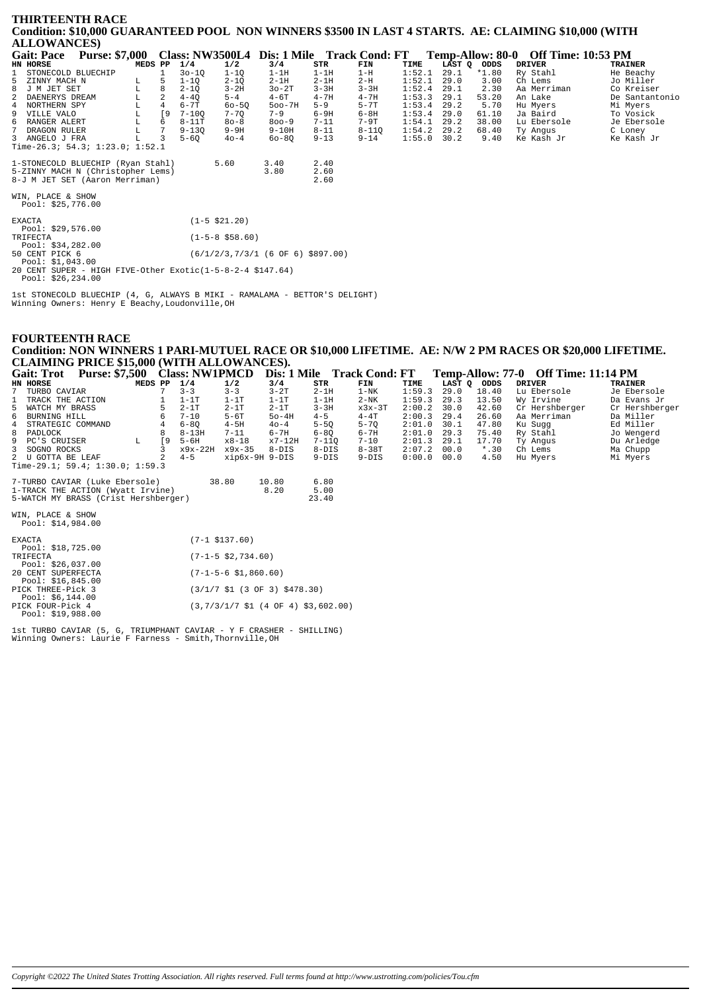#### THIRTEENTH RACE Condition: \$10,000 GUARANTEED POOL NON WINNERS \$3500 IN LAST 4 STARTS. AE: CLAIMING \$10,000 (WITH **ALLOWANCES**)

| <b>Gait: Pace</b>                                                                                        | <b>Purse: \$7,000</b> |         |           |           |                   | Class: NW3500L4 Dis: 1 Mile Track Cond: FT |                      |           |        |      |             | Temp-Allow: 80-0 Off Time: 10:53 PM |                |
|----------------------------------------------------------------------------------------------------------|-----------------------|---------|-----------|-----------|-------------------|--------------------------------------------|----------------------|-----------|--------|------|-------------|-------------------------------------|----------------|
| <b>HN HORSE</b>                                                                                          |                       | MEDS PP |           | 1/4       | 1/2               | 3/4                                        | STR                  | FIN       | TIME   |      | LAST Q ODDS | <b>DRIVER</b>                       | <b>TRAINER</b> |
| STONECOLD BLUECHIP                                                                                       |                       |         |           | $30 - 10$ | $1 - 10$          | $1-1H$                                     | $1-1H$               | $1-H$     | 1:52.1 | 29.1 | $*1.80$     | Ry Stahl                            | He Beachy      |
| ZINNY MACH N<br>5                                                                                        |                       | L       | 5         | $1 - 10$  | $2 - 1Q$          | $2-1H$                                     | $2-1H$               | $2-H$     | 1:52.1 | 29.0 | 3.00        | Ch Lems                             | Jo Miller      |
| 8<br>J M JET SET                                                                                         |                       | L       |           | $2 - 10$  | $3 - 2H$          | $30-2T$                                    | $3 - 3H$             | $3 - 3H$  | 1:52.4 | 29.1 | 2.30        | Aa Merriman                         | Co Kreiser     |
| DAENERYS DREAM<br>2                                                                                      |                       | г       |           | $4 - 40$  | $5 - 4$           | $4-6T$                                     | $4 - 7H$             | $4 - 7H$  | 1:53.3 | 29.1 | 53.20       | An Lake                             | De Santantonio |
| 4 NORTHERN SPY                                                                                           |                       | L       |           | $6 - 7T$  | $60 - 5Q$         | $500 - 7H$                                 | $5 - 9$              | $5 - 7T$  | 1:53.4 | 29.2 | 5.70        | Hu Myers                            | Mi Myers       |
| 9 VILLE VALO                                                                                             |                       | г       | <b>19</b> | $7 - 100$ | $7 - 70$          | $7 - 9$                                    | $6-9H$               | $6-8H$    | 1:53.4 | 29.0 | 61.10       | Ja Baird                            | To Vosick      |
| б.<br>RANGER ALERT                                                                                       |                       | L       | 6         | $8-11T$   | $80 - 8$          | $800 - 9$                                  | $7 - 11$             | $7-9T$    | 1:54.1 | 29.2 | 38.00       | Lu Ebersole                         | Je Ebersole    |
| 7 DRAGON RULER                                                                                           |                       | L       |           | $9 - 130$ | $9-9H$            | $9-10H$                                    | $8 - 11$             | $8 - 11Q$ | 1:54.2 | 29.2 | 68.40       | Ty Angus                            | C Loney        |
| 3 ANGELO J FRA                                                                                           |                       |         |           | $5 - 6Q$  | $40 - 4$          | $60 - 80$                                  | $9 - 13$             | $9 - 14$  | 1:55.0 | 30.2 | 9.40        | Ke Kash Jr                          | Ke Kash Jr     |
| Time-26.3; 54.3; 1:23.0; 1:52.1                                                                          |                       |         |           |           |                   |                                            |                      |           |        |      |             |                                     |                |
| 1-STONECOLD BLUECHIP (Ryan Stahl)<br>5-ZINNY MACH N (Christopher Lems)<br>8-J M JET SET (Aaron Merriman) |                       |         |           |           | 5.60              | 3.40<br>3.80                               | 2.40<br>2.60<br>2.60 |           |        |      |             |                                     |                |
| WIN, PLACE & SHOW<br>Pool: $$25,776.00$                                                                  |                       |         |           |           |                   |                                            |                      |           |        |      |             |                                     |                |
| EXACTA<br>Pool: $$29,576.00$                                                                             |                       |         |           |           | $(1-5 \; $21.20)$ |                                            |                      |           |        |      |             |                                     |                |
| TRIFECTA<br>Pool: $$34,282.00$                                                                           |                       |         |           |           | $(1-5-8$ \$58.60) |                                            |                      |           |        |      |             |                                     |                |
| 50 CENT PICK 6<br>Pool: $$1,043.00$                                                                      |                       |         |           |           |                   | $(6/1/2/3, 7/3/1$ (6 OF 6) \$897.00)       |                      |           |        |      |             |                                     |                |
| $20.00000$ $0.11000$ $0.11701$ $0.1100$ $0.1140$ $0.1100$ $0.1100$ $0.1100$ $0.1100$                     |                       |         |           |           |                   |                                            |                      |           |        |      |             |                                     |                |

20 CENT SUPER - HIGH FIVE-Other Exotic(1-5-8-2-4 \$147.64) Pool: \$26,234.00

lst STONECOLD BLUECHIP (4, G, ALWAYS B MIKI - RAMALAMA - BETTOR'S DELIGHT)<br>Winning Owners: Henry E Beachy,Loudonville,OH

## **FOURTEENTH RACE** Condition: NON WINNERS 1 PARI-MUTUEL RACE OR \$10,000 LIFETIME. AE: N/W 2 PM RACES OR \$20,000 LIFETIME. CLAIMING PRICE \$15,000 (WITH ALLOWANCES).

|   | <b>Gait: Trot</b>                      | <b>Purse: \$7,500</b>                |         |    | <b>Class: NW1PMCD</b> |                  | Dis: 1 Mile |           | <b>Track Cond: FT</b> |        |        |         | Temp-Allow: 77-0 Off Time: 11:14 PM |                |
|---|----------------------------------------|--------------------------------------|---------|----|-----------------------|------------------|-------------|-----------|-----------------------|--------|--------|---------|-------------------------------------|----------------|
|   | HN HORSE                               |                                      | MEDS PP |    | 1/4                   | 1/2              | 3/4         | STR       | FIN                   | TIME   | LAST Q | ODDS    | <b>DRIVER</b>                       | <b>TRAINER</b> |
|   | TURBO CAVIAR                           |                                      |         |    | $3 - 3$               | $3 - 3$          | $3-2T$      | $2-1H$    | $1-NK$                | 1:59.3 | 29.0   | 18.40   | Lu Ebersole                         | Je Ebersole    |
|   | TRACK THE ACTION                       |                                      |         |    | $1-1T$                | $1-1T$           | $1-1T$      | 1-1H      | $2-NK$                | 1:59.3 | 29.3   | 13.50   | Wy Irvine                           | Da Evans Jr    |
|   | 5 WATCH MY BRASS                       |                                      |         | 5  | $2-1T$                | $2-1T$           | $2-1T$      | $3 - 3H$  | $x3x-3T$              | 2:00.2 | 30.0   | 42.60   | Cr Hershberger                      | Cr Hershberger |
| 6 | BURNING HILL                           |                                      |         | 6  | $7 - 10$              | $5-6T$           | $50-4H$     | $4 - 5$   | $4 - 4T$              | 2:00.3 | 29.4   | 26.60   | Aa Merriman                         | Da Miller      |
| 4 | STRATEGIC COMMAND                      |                                      |         |    | $6 - 80$              | $4-5H$           | $40 - 4$    | $5 - 50$  | $5 - 70$              | 2:01.0 | 30.1   | 47.80   | Ku Sugg                             | Ed Miller      |
|   | 8 PADLOCK                              |                                      |         |    | $8 - 13H$             | $7 - 11$         | $6 - 7H$    | $6 - 80$  | $6 - 7H$              | 2:01.0 | 29.3   | 75.40   | Ry Stahl                            | Jo Wengerd     |
|   | 9 PC'S CRUISER                         |                                      | L       | ſ9 | $5 - 6H$              | $x8 - 18$        | $x7-12H$    | $7 - 110$ | $7 - 10$              | 2:01.3 | 29.1   | 17.70   | Ty Angus                            | Du Arledge     |
|   | 3 SOGNO ROCKS                          |                                      |         |    | $x9x-22H$             | x9x-35           | 8-DIS       | $8-DIS$   | $8-38T$               | 2:07.2 | 00.0   | $*$ .30 | Ch Lems                             | Ma Chupp       |
|   | 2 U GOTTA BE LEAF                      |                                      |         |    | $4 - 5$               | xip6x-9H 9-DIS   |             | $9-DIS$   | $9-DIS$               | 0:00.0 | 00.0   | 4.50    | Hu Myers                            | Mi Myers       |
|   |                                        | Time-29.1; 59.4; 1:30.0; 1:59.3      |         |    |                       |                  |             |           |                       |        |        |         |                                     |                |
|   |                                        | 7-TURBO CAVIAR (Luke Ebersole)       |         |    |                       | 38.80            | 10.80       | 6.80      |                       |        |        |         |                                     |                |
|   |                                        | 1-TRACK THE ACTION (Wyatt Irvine)    |         |    |                       |                  | 8.20        | 5.00      |                       |        |        |         |                                     |                |
|   |                                        | 5-WATCH MY BRASS (Crist Hershberger) |         |    |                       |                  |             | 23.40     |                       |        |        |         |                                     |                |
|   | WIN, PLACE & SHOW<br>Pool: \$14,984.00 |                                      |         |    |                       |                  |             |           |                       |        |        |         |                                     |                |
|   | <b>EXACTA</b>                          |                                      |         |    |                       | $(7-1$ \$137.60) |             |           |                       |        |        |         |                                     |                |

| Pool: \$18,725.00  |                                                                            |
|--------------------|----------------------------------------------------------------------------|
| <b>TRIFECTA</b>    | $(7-1-5 \text{ } $2,734.60)$                                               |
| Pool: \$26,037.00  |                                                                            |
| 20 CENT SUPERFECTA | $(7-1-5-6 \ $1,860.60)$                                                    |
| Pool: \$16,845.00  |                                                                            |
| PICK THREE-Pick 3  | $(3/1/7 \text{ } $1 \text{ } (3 \text{ } 0F \text{ } 3) \text{ } $478.30)$ |
| Pool: $$6,144.00$  |                                                                            |
| PICK FOUR-Pick 4   | $(3,7/3/1/7 \text{ }1(4 \text{ }0F \text{ }4) \text{ }53,602.00)$          |
| Pool: \$19,988.00  |                                                                            |
|                    |                                                                            |

1st TURBO CAVIAR (5, G, TRIUMPHANT CAVIAR - Y F CRASHER - SHILLING)<br>Winning Owners: Laurie F Farness - Smith, Thornville, OH